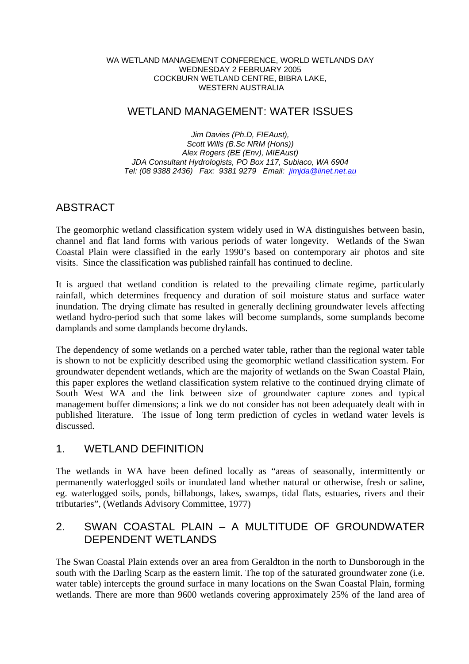#### WA WETLAND MANAGEMENT CONFERENCE, WORLD WETLANDS DAY WEDNESDAY 2 FEBRUARY 2005 COCKBURN WETLAND CENTRE, BIBRA LAKE, WESTERN AUSTRALIA

# WETLAND MANAGEMENT: WATER ISSUES

*Jim Davies (Ph.D, FIEAust), Scott Wills (B.Sc NRM (Hons)) Alex Rogers (BE (Env), MIEAust) JDA Consultant Hydrologists, PO Box 117, Subiaco, WA 6904 Tel: (08 9388 2436) Fax: 9381 9279 Email: jimjda@iinet.net.au*

# ABSTRACT

The geomorphic wetland classification system widely used in WA distinguishes between basin, channel and flat land forms with various periods of water longevity. Wetlands of the Swan Coastal Plain were classified in the early 1990's based on contemporary air photos and site visits. Since the classification was published rainfall has continued to decline.

It is argued that wetland condition is related to the prevailing climate regime, particularly rainfall, which determines frequency and duration of soil moisture status and surface water inundation. The drying climate has resulted in generally declining groundwater levels affecting wetland hydro-period such that some lakes will become sumplands, some sumplands become damplands and some damplands become drylands.

The dependency of some wetlands on a perched water table, rather than the regional water table is shown to not be explicitly described using the geomorphic wetland classification system. For groundwater dependent wetlands, which are the majority of wetlands on the Swan Coastal Plain, this paper explores the wetland classification system relative to the continued drying climate of South West WA and the link between size of groundwater capture zones and typical management buffer dimensions; a link we do not consider has not been adequately dealt with in published literature. The issue of long term prediction of cycles in wetland water levels is discussed.

### 1. WETLAND DEFINITION

The wetlands in WA have been defined locally as "areas of seasonally, intermittently or permanently waterlogged soils or inundated land whether natural or otherwise, fresh or saline, eg. waterlogged soils, ponds, billabongs, lakes, swamps, tidal flats, estuaries, rivers and their tributaries", (Wetlands Advisory Committee, 1977)

### 2. SWAN COASTAL PLAIN – A MULTITUDE OF GROUNDWATER DEPENDENT WETLANDS

The Swan Coastal Plain extends over an area from Geraldton in the north to Dunsborough in the south with the Darling Scarp as the eastern limit. The top of the saturated groundwater zone (i.e. water table) intercepts the ground surface in many locations on the Swan Coastal Plain, forming wetlands. There are more than 9600 wetlands covering approximately 25% of the land area of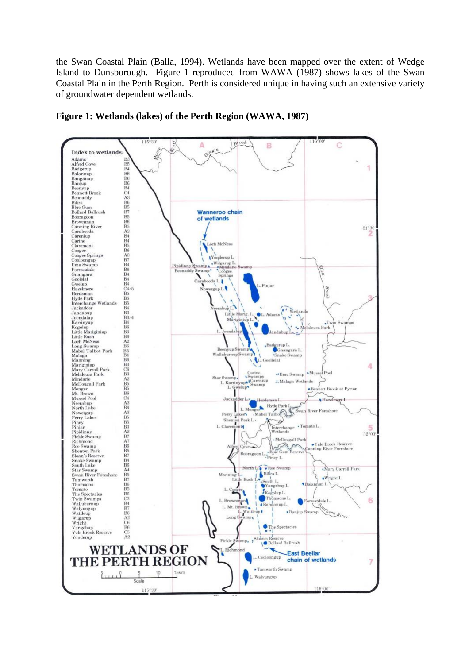the Swan Coastal Plain (Balla, 1994). Wetlands have been mapped over the extent of Wedge Island to Dunsborough. Figure 1 reproduced from WAWA (1987) shows lakes of the Swan Coastal Plain in the Perth Region. Perth is considered unique in having such an extensive variety of groundwater dependent wetlands.



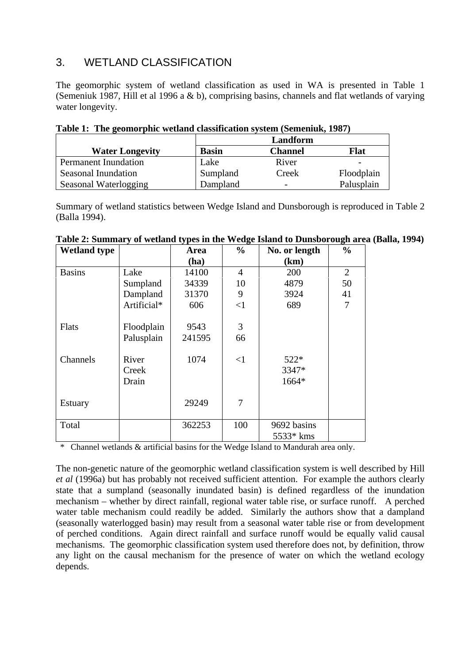# 3. WETLAND CLASSIFICATION

The geomorphic system of wetland classification as used in WA is presented in Table 1 (Semeniuk 1987, Hill et al 1996 a & b), comprising basins, channels and flat wetlands of varying water longevity.

|                             |              | Landform                 |            |
|-----------------------------|--------------|--------------------------|------------|
| <b>Water Longevity</b>      | <b>Basin</b> | <b>Channel</b>           | Flat       |
| <b>Permanent Inundation</b> | Lake         | River                    |            |
| Seasonal Inundation         | Sumpland     | Creek                    | Floodplain |
| Seasonal Waterlogging       | Dampland     | $\overline{\phantom{0}}$ | Palusplain |

**Table 1: The geomorphic wetland classification system (Semeniuk, 1987)** 

Summary of wetland statistics between Wedge Island and Dunsborough is reproduced in Table 2 (Balla 1994).

| <b>Wetland type</b> |             | Area   | $\frac{6}{6}$  | No. or length | $\frac{0}{0}$ |
|---------------------|-------------|--------|----------------|---------------|---------------|
|                     |             | (ha)   |                | (km)          |               |
| <b>Basins</b>       | Lake        | 14100  | $\overline{4}$ | 200           | 2             |
|                     | Sumpland    | 34339  | 10             | 4879          | 50            |
|                     | Dampland    | 31370  | 9              | 3924          | 41            |
|                     | Artificial* | 606    | <1             | 689           | 7             |
|                     |             |        |                |               |               |
| <b>Flats</b>        | Floodplain  | 9543   | 3              |               |               |
|                     | Palusplain  | 241595 | 66             |               |               |
|                     |             |        |                |               |               |
| Channels            | River       | 1074   | $<$ 1          | $522*$        |               |
|                     | Creek       |        |                | 3347*         |               |
|                     | Drain       |        |                | 1664*         |               |
|                     |             |        |                |               |               |
| <b>Estuary</b>      |             | 29249  | 7              |               |               |
|                     |             |        |                |               |               |
| Total               |             | 362253 | 100            | 9692 basins   |               |
|                     |             |        |                | 5533* kms     |               |

|  |  |  | Table 2: Summary of wetland types in the Wedge Island to Dunsborough area (Balla, 1994) |  |  |
|--|--|--|-----------------------------------------------------------------------------------------|--|--|
|  |  |  |                                                                                         |  |  |

Channel wetlands & artificial basins for the Wedge Island to Mandurah area only.

The non-genetic nature of the geomorphic wetland classification system is well described by Hill *et al* (1996a) but has probably not received sufficient attention. For example the authors clearly state that a sumpland (seasonally inundated basin) is defined regardless of the inundation mechanism – whether by direct rainfall, regional water table rise, or surface runoff. A perched water table mechanism could readily be added. Similarly the authors show that a dampland (seasonally waterlogged basin) may result from a seasonal water table rise or from development of perched conditions. Again direct rainfall and surface runoff would be equally valid causal mechanisms. The geomorphic classification system used therefore does not, by definition, throw any light on the causal mechanism for the presence of water on which the wetland ecology depends.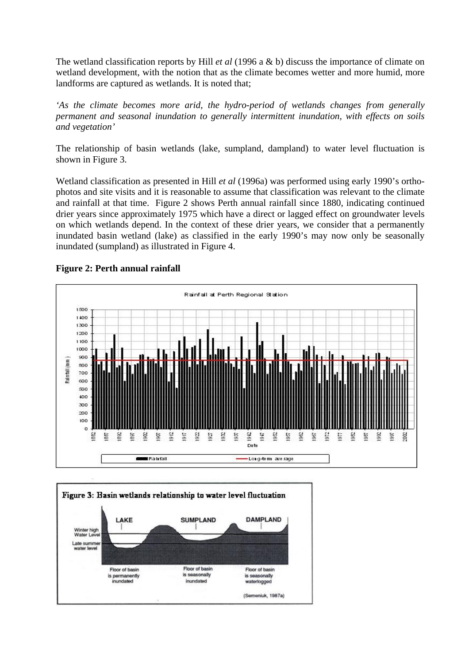The wetland classification reports by Hill *et al* (1996 a & b) discuss the importance of climate on wetland development, with the notion that as the climate becomes wetter and more humid, more landforms are captured as wetlands. It is noted that;

*'As the climate becomes more arid, the hydro-period of wetlands changes from generally permanent and seasonal inundation to generally intermittent inundation, with effects on soils and vegetation'*

The relationship of basin wetlands (lake, sumpland, dampland) to water level fluctuation is shown in Figure 3.

Wetland classification as presented in Hill *et al* (1996a) was performed using early 1990's orthophotos and site visits and it is reasonable to assume that classification was relevant to the climate and rainfall at that time. Figure 2 shows Perth annual rainfall since 1880, indicating continued drier years since approximately 1975 which have a direct or lagged effect on groundwater levels on which wetlands depend. In the context of these drier years, we consider that a permanently inundated basin wetland (lake) as classified in the early 1990's may now only be seasonally inundated (sumpland) as illustrated in Figure 4.



### **Figure 2: Perth annual rainfall**

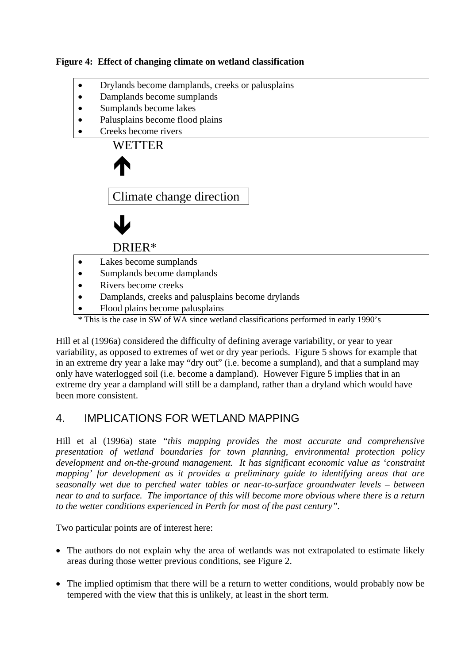### **Figure 4: Effect of changing climate on wetland classification**

- Drylands become damplands, creeks or palusplains
- Damplands become sumplands
- Sumplands become lakes
- Palusplains become flood plains
- Creeks become rivers



• Flood plains become palusplains

\* This is the case in SW of WA since wetland classifications performed in early 1990's

Hill et al (1996a) considered the difficulty of defining average variability, or year to year variability, as opposed to extremes of wet or dry year periods. Figure 5 shows for example that in an extreme dry year a lake may "dry out" (i.e. become a sumpland), and that a sumpland may only have waterlogged soil (i.e. become a dampland). However Figure 5 implies that in an extreme dry year a dampland will still be a dampland, rather than a dryland which would have been more consistent.

# 4. IMPLICATIONS FOR WETLAND MAPPING

Hill et al (1996a) state *"this mapping provides the most accurate and comprehensive presentation of wetland boundaries for town planning, environmental protection policy development and on-the-ground management. It has significant economic value as 'constraint mapping' for development as it provides a preliminary guide to identifying areas that are seasonally wet due to perched water tables or near-to-surface groundwater levels – between near to and to surface. The importance of this will become more obvious where there is a return to the wetter conditions experienced in Perth for most of the past century".* 

Two particular points are of interest here:

- The authors do not explain why the area of wetlands was not extrapolated to estimate likely areas during those wetter previous conditions, see Figure 2.
- The implied optimism that there will be a return to wetter conditions, would probably now be tempered with the view that this is unlikely, at least in the short term.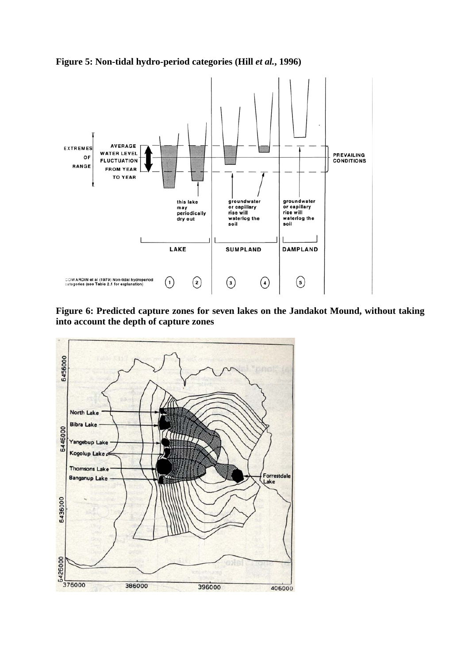**Figure 5: Non-tidal hydro-period categories (Hill** *et al.***, 1996)** 



**Figure 6: Predicted capture zones for seven lakes on the Jandakot Mound, without taking into account the depth of capture zones** 

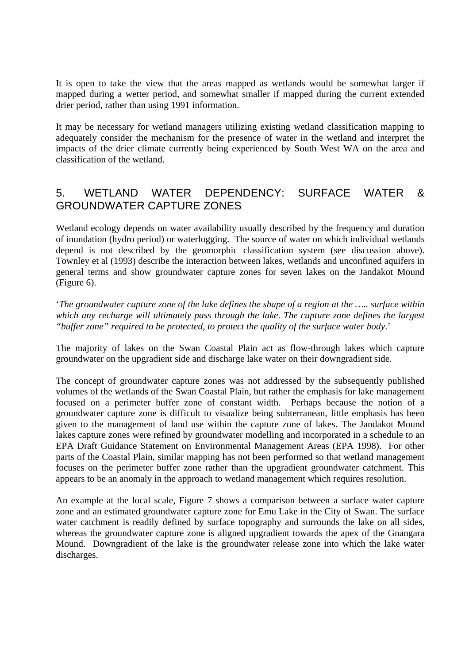It is open to take the view that the areas mapped as wetlands would be somewhat larger if mapped during a wetter period, and somewhat smaller if mapped during the current extended drier period, rather than using 1991 information.

It may be necessary for wetland managers utilizing existing wetland classification mapping to adequately consider the mechanism for the presence of water in the wetland and interpret the impacts of the drier climate currently being experienced by South West WA on the area and classification of the wetland.

# 5. WETLAND WATER DEPENDENCY: SURFACE WATER & GROUNDWATER CAPTURE ZONES

Wetland ecology depends on water availability usually described by the frequency and duration of inundation (hydro period) or waterlogging. The source of water on which individual wetlands depend is not described by the geomorphic classification system (see discussion above). Townley et al (1993) describe the interaction between lakes, wetlands and unconfined aquifers in general terms and show groundwater capture zones for seven lakes on the Jandakot Mound (Figure 6).

'*The groundwater capture zone of the lake defines the shape of a region at the ….. surface within which any recharge will ultimately pass through the lake*. *The capture zone defines the largest "buffer zone" required to be protected, to protect the quality of the surface water body*.'

The majority of lakes on the Swan Coastal Plain act as flow-through lakes which capture groundwater on the upgradient side and discharge lake water on their downgradient side.

The concept of groundwater capture zones was not addressed by the subsequently published volumes of the wetlands of the Swan Coastal Plain, but rather the emphasis for lake management focused on a perimeter buffer zone of constant width. Perhaps because the notion of a groundwater capture zone is difficult to visualize being subterranean, little emphasis has been given to the management of land use within the capture zone of lakes. The Jandakot Mound lakes capture zones were refined by groundwater modelling and incorporated in a schedule to an EPA Draft Guidance Statement on Environmental Management Areas (EPA 1998). For other parts of the Coastal Plain, similar mapping has not been performed so that wetland management focuses on the perimeter buffer zone rather than the upgradient groundwater catchment. This appears to be an anomaly in the approach to wetland management which requires resolution.

An example at the local scale, Figure 7 shows a comparison between a surface water capture zone and an estimated groundwater capture zone for Emu Lake in the City of Swan. The surface water catchment is readily defined by surface topography and surrounds the lake on all sides, whereas the groundwater capture zone is aligned upgradient towards the apex of the Gnangara Mound. Downgradient of the lake is the groundwater release zone into which the lake water discharges.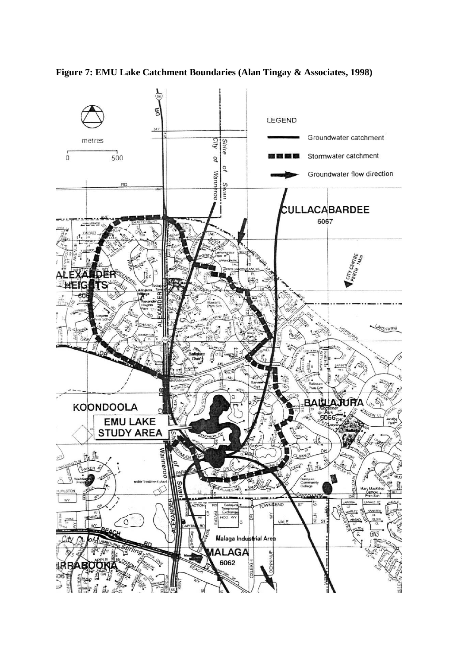

**Figure 7: EMU Lake Catchment Boundaries (Alan Tingay & Associates, 1998)**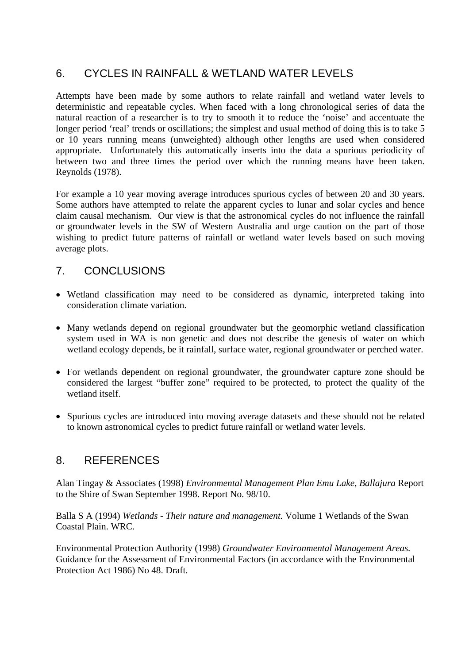# 6. CYCLES IN RAINFALL & WETLAND WATER LEVELS

Attempts have been made by some authors to relate rainfall and wetland water levels to deterministic and repeatable cycles. When faced with a long chronological series of data the natural reaction of a researcher is to try to smooth it to reduce the 'noise' and accentuate the longer period 'real' trends or oscillations; the simplest and usual method of doing this is to take 5 or 10 years running means (unweighted) although other lengths are used when considered appropriate. Unfortunately this automatically inserts into the data a spurious periodicity of between two and three times the period over which the running means have been taken. Reynolds (1978).

For example a 10 year moving average introduces spurious cycles of between 20 and 30 years. Some authors have attempted to relate the apparent cycles to lunar and solar cycles and hence claim causal mechanism. Our view is that the astronomical cycles do not influence the rainfall or groundwater levels in the SW of Western Australia and urge caution on the part of those wishing to predict future patterns of rainfall or wetland water levels based on such moving average plots.

### 7. CONCLUSIONS

- Wetland classification may need to be considered as dynamic, interpreted taking into consideration climate variation.
- Many wetlands depend on regional groundwater but the geomorphic wetland classification system used in WA is non genetic and does not describe the genesis of water on which wetland ecology depends, be it rainfall, surface water, regional groundwater or perched water.
- For wetlands dependent on regional groundwater, the groundwater capture zone should be considered the largest "buffer zone" required to be protected, to protect the quality of the wetland itself.
- Spurious cycles are introduced into moving average datasets and these should not be related to known astronomical cycles to predict future rainfall or wetland water levels.

### 8. REFERENCES

Alan Tingay & Associates (1998) *Environmental Management Plan Emu Lake, Ballajura* Report to the Shire of Swan September 1998. Report No. 98/10.

Balla S A (1994) *Wetlands - Their nature and management.* Volume 1 Wetlands of the Swan Coastal Plain. WRC.

Environmental Protection Authority (1998) *Groundwater Environmental Management Areas.*  Guidance for the Assessment of Environmental Factors (in accordance with the Environmental Protection Act 1986) No 48. Draft.